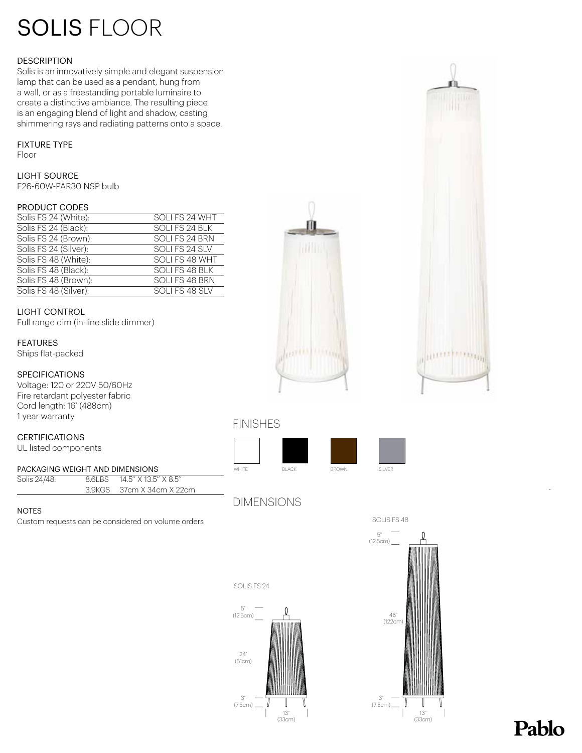# SOLIS FLOOR

#### **DESCRIPTION**

Solis is an innovatively simple and elegant suspension lamp that can be used as a pendant, hung from a wall, or as a freestanding portable luminaire to create a distinctive ambiance. The resulting piece is an engaging blend of light and shadow, casting shimmering rays and radiating patterns onto a space.

#### FIXTURE TYPE

Floor

LIGHT SOURCE

E26-60W-PAR30 NSP bulb

#### PRODUCT CODES

| Solis FS 24 (White):  | SOLI FS 24 WHT |
|-----------------------|----------------|
| Solis FS 24 (Black):  | SOLI FS 24 BLK |
| Solis FS 24 (Brown):  | SOLI FS 24 BRN |
| Solis FS 24 (Silver): | SOLI FS 24 SLV |
| Solis FS 48 (White):  | SOLI FS 48 WHT |
| Solis FS 48 (Black):  | SOLI FS 48 BLK |
| Solis FS 48 (Brown):  | SOLI FS 48 BRN |
| Solis FS 48 (Silver): | SOLI FS 48 SLV |

#### LIGHT CONTROL

Full range dim (in-line slide dimmer)

#### FEATURES

Ships flat-packed

#### **SPECIFICATIONS**

Voltage: 120 or 220V 50/60Hz Fire retardant polyester fabric Cord length: 16' (488cm) 1 year warranty

#### CERTIFICATIONS

UL listed components

#### PACKAGING WEIGHT AND DIMENSIONS

Solis 24/48: 8.6LBS 14.5" X 13.5" X 8.5 3.9KGS 37cm X 34cm X 22cm

#### NOTES

Custom requests can be considered on volume orders





### FINISHES



DIMENSIONS







## Pablo